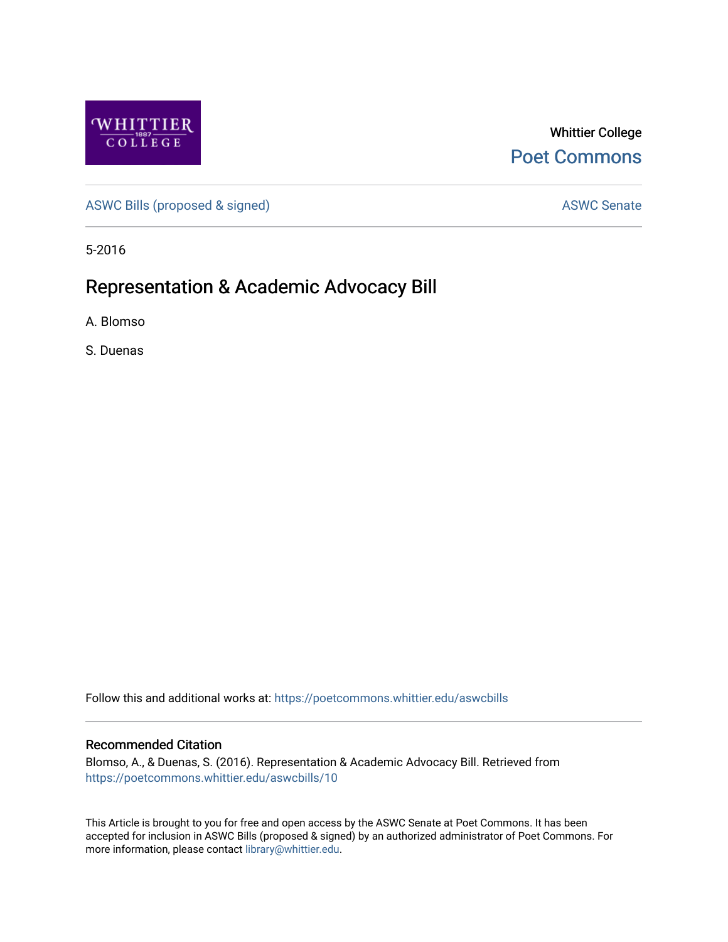

Whittier College [Poet Commons](https://poetcommons.whittier.edu/) 

[ASWC Bills \(proposed & signed\)](https://poetcommons.whittier.edu/aswcbills) ASWC Senate

5-2016

# Representation & Academic Advocacy Bill

A. Blomso

S. Duenas

Follow this and additional works at: [https://poetcommons.whittier.edu/aswcbills](https://poetcommons.whittier.edu/aswcbills?utm_source=poetcommons.whittier.edu%2Faswcbills%2F10&utm_medium=PDF&utm_campaign=PDFCoverPages) 

#### Recommended Citation

Blomso, A., & Duenas, S. (2016). Representation & Academic Advocacy Bill. Retrieved from [https://poetcommons.whittier.edu/aswcbills/10](https://poetcommons.whittier.edu/aswcbills/10?utm_source=poetcommons.whittier.edu%2Faswcbills%2F10&utm_medium=PDF&utm_campaign=PDFCoverPages)

This Article is brought to you for free and open access by the ASWC Senate at Poet Commons. It has been accepted for inclusion in ASWC Bills (proposed & signed) by an authorized administrator of Poet Commons. For more information, please contact [library@whittier.edu.](mailto:library@whittier.edu)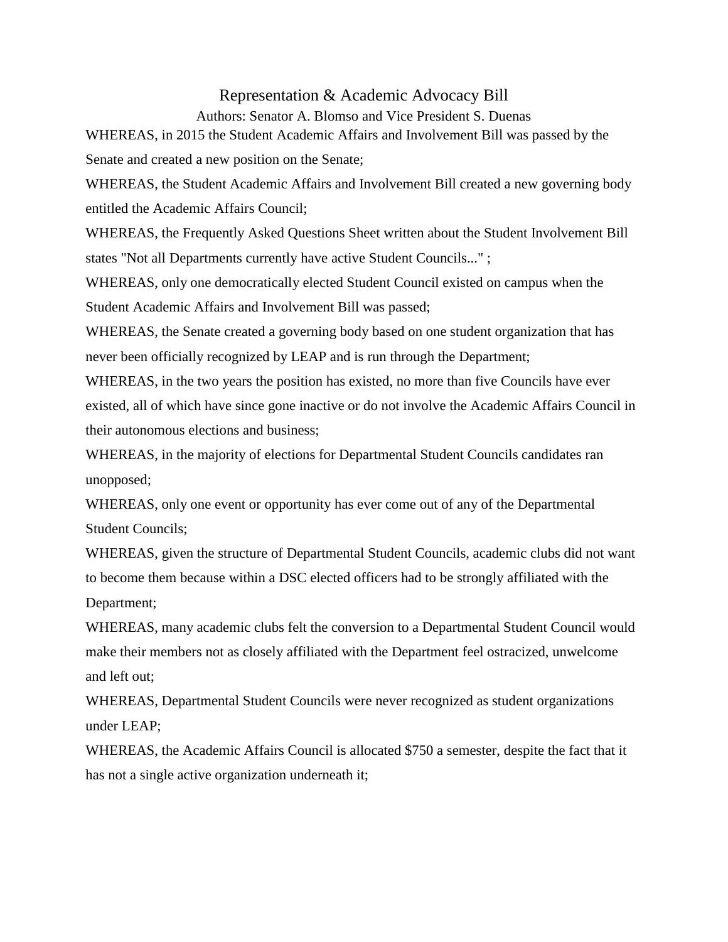### Representation & Academic Advocacy Bill

Authors: Senator A. Blomso and Vice President S. Duenas

WHEREAS, in 2015 the Student Academic Affairs and Involvement Bill was passed by the Senate and created a new position on the Senate;

WHEREAS, the Student Academic Affairs and Involvement Bill created a new governing body entitled the Academic Affairs Council;

WHEREAS, the Frequently Asked Questions Sheet written about the Student Involvement Bill states "Not all Departments currently have active Student Councils..." ;

WHEREAS, only one democratically elected Student Council existed on campus when the Student Academic Affairs and Involvement Bill was passed;

WHEREAS, the Senate created a governing body based on one student organization that has never been officially recognized by LEAP and is run through the Department;

WHEREAS, in the two years the position has existed, no more than five Councils have ever existed, all of which have since gone inactive or do not involve the Academic Affairs Council in their autonomous elections and business;

WHEREAS, in the majority of elections for Departmental Student Councils candidates ran unopposed;

WHEREAS, only one event or opportunity has ever come out of any of the Departmental Student Councils;

WHEREAS, given the structure of Departmental Student Councils, academic clubs did not want to become them because within a DSC elected officers had to be strongly affiliated with the Department;

WHEREAS, many academic clubs felt the conversion to a Departmental Student Council would make their members not as closely affiliated with the Department feel ostracized, unwelcome and left out;

WHEREAS, Departmental Student Councils were never recognized as student organizations under LEAP;

WHEREAS, the Academic Affairs Council is allocated \$750 a semester, despite the fact that it has not a single active organization underneath it;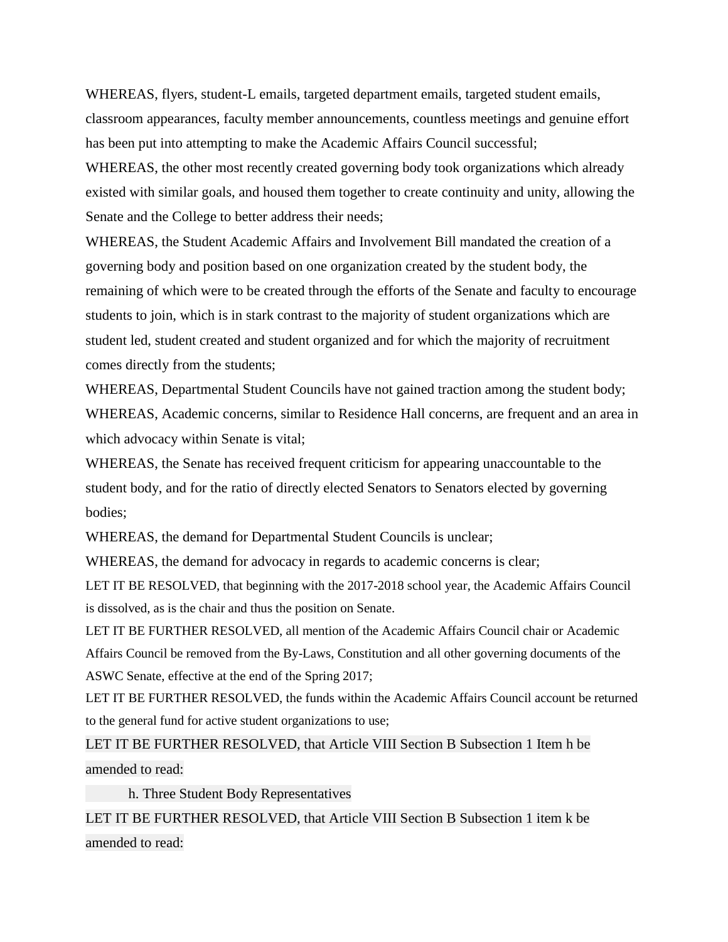WHEREAS, flyers, student-L emails, targeted department emails, targeted student emails, classroom appearances, faculty member announcements, countless meetings and genuine effort has been put into attempting to make the Academic Affairs Council successful;

WHEREAS, the other most recently created governing body took organizations which already existed with similar goals, and housed them together to create continuity and unity, allowing the Senate and the College to better address their needs;

WHEREAS, the Student Academic Affairs and Involvement Bill mandated the creation of a governing body and position based on one organization created by the student body, the remaining of which were to be created through the efforts of the Senate and faculty to encourage students to join, which is in stark contrast to the majority of student organizations which are student led, student created and student organized and for which the majority of recruitment comes directly from the students;

WHEREAS, Departmental Student Councils have not gained traction among the student body; WHEREAS, Academic concerns, similar to Residence Hall concerns, are frequent and an area in which advocacy within Senate is vital;

WHEREAS, the Senate has received frequent criticism for appearing unaccountable to the student body, and for the ratio of directly elected Senators to Senators elected by governing bodies;

WHEREAS, the demand for Departmental Student Councils is unclear;

WHEREAS, the demand for advocacy in regards to academic concerns is clear;

LET IT BE RESOLVED, that beginning with the 2017-2018 school year, the Academic Affairs Council is dissolved, as is the chair and thus the position on Senate.

LET IT BE FURTHER RESOLVED, all mention of the Academic Affairs Council chair or Academic Affairs Council be removed from the By-Laws, Constitution and all other governing documents of the ASWC Senate, effective at the end of the Spring 2017;

LET IT BE FURTHER RESOLVED, the funds within the Academic Affairs Council account be returned to the general fund for active student organizations to use;

LET IT BE FURTHER RESOLVED, that Article VIII Section B Subsection 1 Item h be amended to read:

h. Three Student Body Representatives

LET IT BE FURTHER RESOLVED, that Article VIII Section B Subsection 1 item k be amended to read: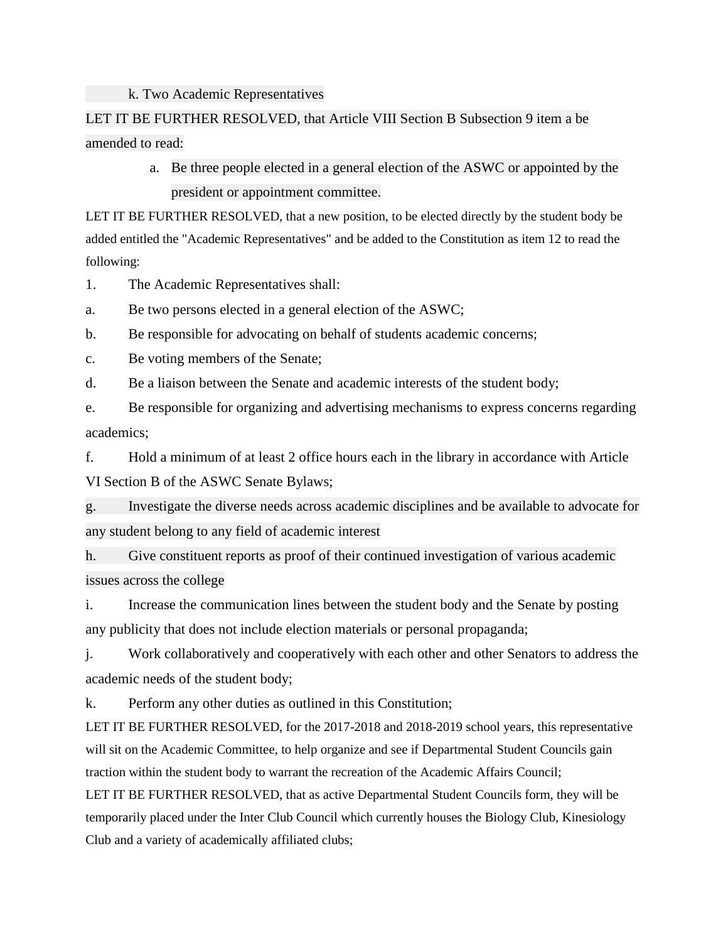#### k. Two Academic Representatives

## LET IT BE FURTHER RESOLVED, that Article VIII Section B Subsection 9 item a be amended to read:

a. Be three people elected in a general election of the ASWC or appointed by the president or appointment committee.

LET IT BE FURTHER RESOLVED, that a new position, to be elected directly by the student body be added entitled the "Academic Representatives" and be added to the Constitution as item 12 to read the following:

1. The Academic Representatives shall:

a. Be two persons elected in a general election of the ASWC;

b. Be responsible for advocating on behalf of students academic concerns;

c. Be voting members of the Senate;

d. Be a liaison between the Senate and academic interests of the student body;

e. Be responsible for organizing and advertising mechanisms to express concerns regarding academics;

f. Hold a minimum of at least 2 office hours each in the library in accordance with Article VI Section B of the ASWC Senate Bylaws;

g. Investigate the diverse needs across academic disciplines and be available to advocate for any student belong to any field of academic interest

h. Give constituent reports as proof of their continued investigation of various academic issues across the college

i. Increase the communication lines between the student body and the Senate by posting any publicity that does not include election materials or personal propaganda;

j. Work collaboratively and cooperatively with each other and other Senators to address the academic needs of the student body;

k. Perform any other duties as outlined in this Constitution;

LET IT BE FURTHER RESOLVED, for the 2017-2018 and 2018-2019 school years, this representative will sit on the Academic Committee, to help organize and see if Departmental Student Councils gain traction within the student body to warrant the recreation of the Academic Affairs Council; LET IT BE FURTHER RESOLVED, that as active Departmental Student Councils form, they will be temporarily placed under the Inter Club Council which currently houses the Biology Club, Kinesiology Club and a variety of academically affiliated clubs;